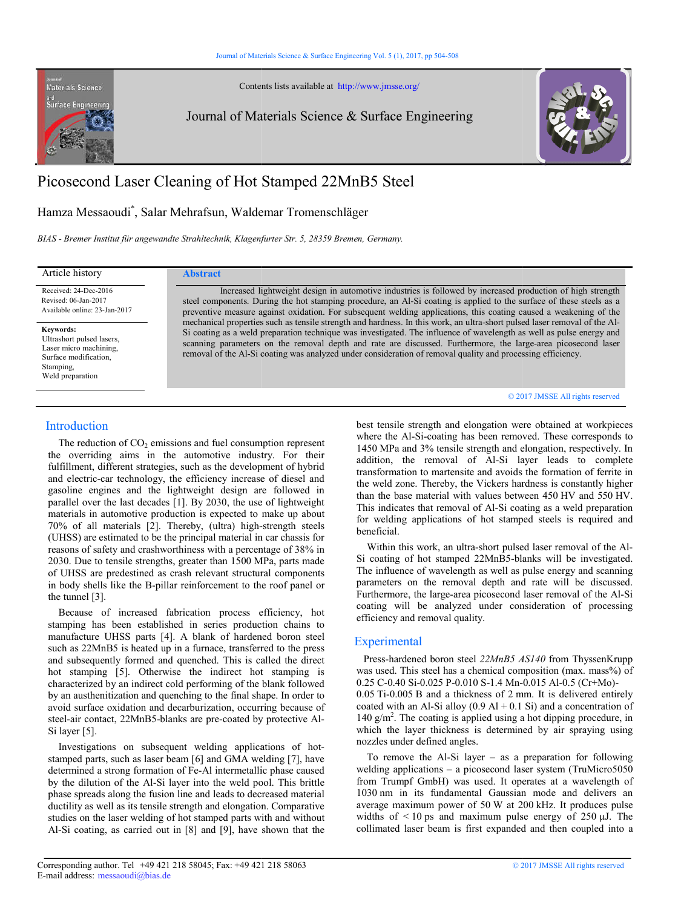Contents lists available at available at http://www.jmsse.org/

Journal of Materials Science & Surface Engineering



# Picosecond Laser Cleaning of Hot Stamped 22MnB5 Steel

# Hamza Messaoudi\* , Salar Mehrafsun, Waldemar Tromenschläger

*BIAS - Bremer Institut für angewandte Strahltechnik, Klagenfurter Str. 5 rahltechnik, Klagenfurter Str. 5, 28359 Bremen, Germany.*

Received: 24-Dec-2016 Revised: 06-Jan-2017 Available online: 23-Jan-2017

Materials Science **Surface Engineerin** 

**Keywords:**  Ultrashort pulsed lasers, Laser micro machining, Surface modification, Stamping, Weld preparation

## Article history **Abstract**

 Increased lightweight design in automotive industries is followed by increased production of high strength Increased lightweight design in automotive industries is followed by increased production of high strength steel components. During the hot stamping procedure, an Al-Si coating is applied to the surface of these steels as preventive measure against oxidation. For subsequent welding applications, this coating caused a weakening of the steel components. During the hot stamping procedure, an Al-Si coating is applied to the surface of these steels as a<br>preventive measure against oxidation. For subsequent welding applications, this coating caused a weakenin Si coating as a weld preparation technique was investigated. The influence of wavelength as well as pulse energy and Si coating as a weld preparation technique was investigated. The influence of wavelength as well as pulse energy and<br>scanning parameters on the removal depth and rate are discussed. Furthermore, the large-area picosecond l removal of the Al-Si coating was analyzed under consideration of removal quality and processing efficiency.<br>© 2017 JMSSE All rig

# **Introduction**

The reduction of  $CO<sub>2</sub>$  emissions and fuel consumption represent the overriding aims in the automotive industry. For their fulfillment, different strategies, such as the development of hybrid and electric-car technology, the efficiency increase of diesel and gasoline engines and the lightweight design are followed in parallel over the last decades [1]. By 2030, the use of lightweight materials in automotive production is expected to make up about The reduction of  $CO_2$  emissions and fuel consumption represent<br>the overriding aims in the automotive industry. For their<br>fulfillment, different strategies, such as the development of hybrid<br>and electric-car technology, t (UHSS) are estimated to be the principal material in car chassis for reasons of safety and crashworthiness with a percentage of 38% in 2030. Due to tensile strengths, greater than 1500 MPa, parts made of UHSS are predestined as crash relevant structural components in body shells like the B-pillar reinforcement to the roof panel or the tunnel [3]. Colution<br>
(detriction of CO<sub>2</sub> emissions and fuel consumption represent<br>
where the Al-Si-coning has bet consumption terms in the androminal consumption of the consumption of the consumption of the strength and Si out in s

 Because of increased fabrication process efficiency, hot stamping has been established in series production chains to manufacture UHSS parts [4]. A blank of hardened boron steel such as 22MnB5 is heated up in a furnace, transferred to the press and subsequently formed and quenched. This is called the direct hot stamping [5]. Otherwise the indirect hot stamping is characterized by an indirect cold performing of the blank followed by an austhenitization and quenching to the final shape. In order to avoid surface oxidation and decarburization, occurring because of steel-air contact, 22MnB5-blanks are pre-coated by protective Al Si layer [5]. UHSS) are estimated to be the principal material in car chassis for easons of safety and crashworthiness with a percentage of 38% in 030. Due to tensile strengths, greater than 1500 MPa, parts made f UHSS are predestined a

 Investigations on subsequent welding applications of hot hotstamped parts, such as laser beam [6] and GMA welding [7], have determined a strong formation of Fe-Al intermetallic phase caused by the dilution of the Al-Si layer into the weld pool. This brittle phase spreads along the fusion line and leads to decreased material ductility as well as its tensile strength and elongation. Comparative studies on the laser welding of hot stamped parts with and without Al-Si coating, as carried out in [8] and [9], have shown that the

# $Q$  2017 JMSSE All rights reserved

where the Al-Si-coating has been removed. These corresponds to 1450 MPa and 3% tensile strength and elongation, respectively. In addition, the removal of Al-Si layer leads to complete transformation to martensite and avoids the formation of ferrite in the weld zone. Thereby, the Vickers hardness is constantly higher than the base material with values between 450 HV and 550 HV. This indicates that removal of Al-Si coating as a weld preparation for welding applications of hot stamped steels is required and beneficial. This indicates that removal of Al-Si coating as a weld preparation<br>for welding applications of hot stamped steels is required and<br>beneficial.<br>Within this work, an ultra-short pulsed laser removal of the Algth and elongation<br>coating has been re<br>% tensile strength are<br>moval of Al-Si<br>martensite and avo

Si coating of hot stamped 22MnB5-blanks will be investigated. The influence of wavelength as well as pulse energy and scanning parameters on the removal depth and rate will be discussed. Furthermore, the large-area picosecond laser removal of the Al-Si coating will be analyzed under consideration of processing efficiency and removal quality. ig of hot stamped 22MnB5-blanks will be investigated.<br>
ence of wavelength as well as pulse energy and scanning<br>
rs on the removal depth and rate will be discussed.<br>
ore, the large-area picosecond laser removal of the Al-Si

# **Experimental**

 Press-hardened boron steel *22MnB5 AS140* from ThyssenKrupp was used. This steel has a chemical composition (max. mass%) of 0.25 C-0.40 Si-0.025 P-0.010 S-1.4 Mn-0.015 Al-0.5 (Cr+Mo)-0.05 Ti-0.005 B and a thickness of 2 mm. It is delivered entirely coated with an Al-Si alloy  $(0.9 \text{ Al} + 0.1 \text{ Si})$  and a concentration of 140  $g/m<sup>2</sup>$ . The coating is applied using a hot dipping procedure, in which the layer thickness is determined by air spraying using nozzles under defined angles.

 To remove the Al-Si layer – as a preparation for following welding applications – a picosecond laser system (TruMicro5050 from Trumpf GmbH) was used. It operates at a wavelength of 1030 nm in its fundamental Gaussian mode and delivers an average maximum power of 50 W at 200 kHz. It produces pulse widths of  $\leq 10$  ps and maximum pulse energy of 250  $\mu$ J. The collimated laser beam is first expanded and then coupled into a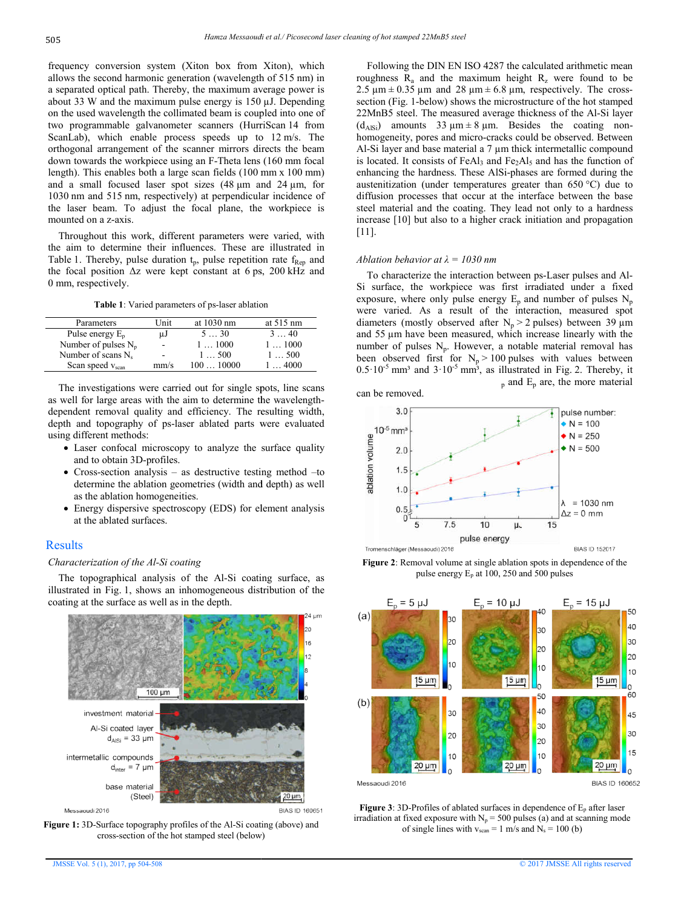frequency conversion system (Xiton box from Xiton), which frequency conversion system (Xiton box from Xiton), which allows the second harmonic generation (wavelength of 515 nm) in a separated optical path. Thereby, the maximum average power is a separated optical path. Thereby, the maximum average power is about 33 W and the maximum pulse energy is  $150 \mu$ J. Depending on the used wavelength the collimated beam is coupled into one of on the used wavelength the collimated beam is coupled into one of two programmable galvanometer scanners (HurriScan 14 from ScanLab), which enable process speeds up to 12 m/s. The orthogonal arrangement of the scanner mirrors directs the beam orthogonal arrangement of the scanner mirrors directs the beam<br>down towards the workpiece using an F-Theta lens (160 mm focal length). This enables both a large scan fields (100 mm x 100 mm) and a small focused laser spot sizes  $(48 \mu m)$  and  $24 \mu m$ , for 1030 nm and 515 nm, respectively) at perpendicular incidence of 1030 nm and 515 nm, respectively) at perpendicular incidence of the laser beam. To adjust the focal plane, the workpiece is mounted on a z-axis.

 Throughout this work, different parameters were varied, with the aim to determine their influences. These are illustrated in Throughout this work, different parameters were varied, with the aim to determine their influences. These are illustrated in Table 1. Thereby, pulse duration  $t_p$ , pulse repetition rate  $f_{\text{Rep}}$  and the focal position  $\Delta z$  were kept constant at 6 ps, 200 kHz and 0 mm, respectively.

| <b>Table 1:</b> Varied parameters of ps-laser ablation |                |                |                     |
|--------------------------------------------------------|----------------|----------------|---------------------|
| Parameters                                             | Unit           | at 1030 nm     | at $515 \text{ nm}$ |
| Pulse energy $E_p$                                     | μJ             | $5 \t30$       | $3 \cdot 40$        |
| Number of pulses $N_p$                                 | $\blacksquare$ | $1 \dots 1000$ | $1 \dots 1000$      |
| Number of scans $N_s$                                  | ۰              | $1 - 500$      | 1500                |
| Scan speed $v_{\text{scan}}$                           | mm/s           | $100 - 10000$  | 14000               |

 The investigations were carried out for single spots, line scans The investigations were carried out for single spots, line scans<br>as well for large areas with the aim to determine the wavelengthdependent removal quality and efficiency. The resulting width, depth and topography of ps-laser ablated parts were evaluated using different methods: removal quality and efficiency. The resulting width, topography of ps-laser ablated parts were evaluated<br>ent methods:<br>confocal microscopy to analyze the surface quality<br>o obtain 3D-profiles.<br>s-section analysis – as destruc

- Laser confocal microscopy to analyze the surface quality and to obtain 3D-profiles.
- Cross-section analysis as destructive testing method to determine the ablation geometries (width and depth) as well as the ablation homogeneities.
- Energy dispersive spectroscopy (EDS) for element analysis at the ablated surfaces.

# Results

#### *Characterization of the Al-Si coating*

 The topographical analysis of the Al-Si coating surface, as illustrated in Fig. 1, shows an inhomogeneous distribution of coating at the surface as well as in the depth. Framine the ablation geometries (width and depth) as well<br>the ablation homogeneities.<br>ergy dispersive spectroscopy (EDS) for element analysis<br>the ablated surfaces.<br>rization of the Al-Si coating<br>poperaphical analysis of the



Messaoudi 2016

**Figure 1:** 3D-Surface topography profiles of the Al-Si coating (above) and cross-section of the hot stamped steel (below)

roughness  $R_a$  and the maximum height  $R_z$  were found to be 2.5  $\mu$ m  $\pm$  0.35  $\mu$ m and 28  $\mu$ m  $\pm$  6.8  $\mu$ m, respectively. The crosssection (Fig. 1-below) shows the microstructure of the hot stamped section (Fig. 1-below) shows the microstructure of the hot stamped 22MnB5 steel. The measured average thickness of the Al-Si layer  $(d_{\text{AISi}})$  amounts 33  $\mu$ m  $\pm$  8  $\mu$ m. Besides the coating nonhomogeneity, pores and micro-cracks could be observed. Between Al-Si layer and base material a 7 µm thick intermetallic compound is located. It consists of FeAl<sub>3</sub> and Fe<sub>2</sub>Al<sub>5</sub> and has the function of enhancing the hardness. These AlSi-phases are formed during the austenitization (under temperatures greater than 650 °C) due to diffusion processes that occur at the interface between the base steel material and the coating. They lead not only to a hardness increase [10] but also to a higher crack initiation and propagation [11]. Following the DIN EN ISO 4287 the calculated arithmetic mean cracks could be observed. Between 7  $\mu$ m thick intermetallic compound<br>and  $Fe<sub>2</sub>Al<sub>5</sub>$  and has the function of

#### *Ablation behavior at λ = 1030 nm*

To characterize the interaction between ps-Laser pulses and Al-Si surface, the workpiece was first irradiated under a fixed exposure, where only pulse energy  $E_p$  and number of pulses  $N_p$ were varied. As a result of the interaction, measured spot diameters (mostly observed after  $N_p > 2$  pulses) between 39  $\mu$ m and 55  $\mu$ m have been measured, which increase linearly with the number of pulses  $N_p$ . However, a notable material removal has been observed first for  $N_p > 100$  pulses with values between  $0.5 \cdot 10^{-5}$  mm<sup>3</sup> and  $3 \cdot 10^{-5}$  mm<sup>3</sup>, as illustrated in Fig. 2. Thereby, it  $_{p}$  and  $E_{p}$  are, the more material



**Figure 2**: Removal volume at single ablation spots in dependence of the pulse energy Ep at 100, 250 and 500 pulses



**Figure 3**: 3D-Profiles of ablated surfaces in dependence of  $E_p$  after laser irradiation at fixed exposure with  $N_p = 500$  pulses (a) and at scanning mode of single lines with  $v_{\text{scan}} = 1 \text{ m/s}$  and  $N_s = 100 \text{ (b)}$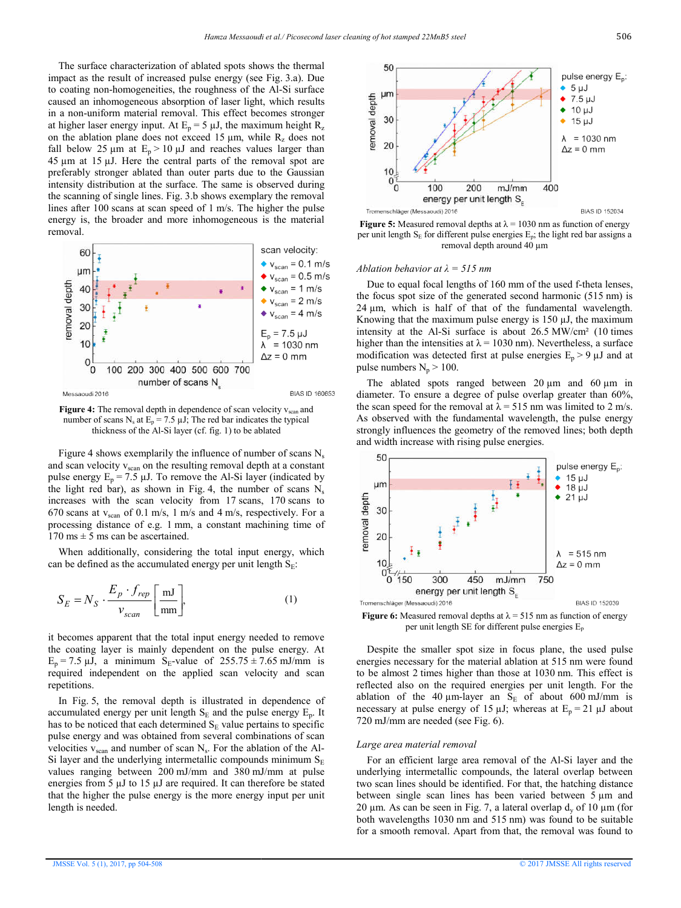The surface characterization of ablated spots shows the thermal impact as the result of increased pulse energy (see Fig. 3.a). Due to coating non-homogeneities, the roughness of the Al-Si surface caused an inhomogeneous absorption of laser light, which results in a non-uniform material removal. This effect becomes stronger in a non-uniform material removal. This effect becomes stronger at higher laser energy input. At  $E_p = 5 \mu J$ , the maximum height  $R_z$ on the ablation plane does not exceed 15  $\mu$ m, while  $R_z$  does not fall below 25  $\mu$ m at  $E_p > 10 \mu$ J and reaches values larger than  $45 \mu m$  at 15  $\mu$ J. Here the central parts of the removal spot are preferably stronger ablated than outer parts due to the Gaussian intensity distribution at the surface. The same is observed during the scanning of single lines. Fig. 3.b shows exemplary the removal lines after 100 scans at scan speed of 1 m/s. The higher the pulse energy is, the broader and more inhomogeneous is the material removal.



**Figure 4:** The removal depth in dependence of scan velocity v<sub>scan</sub> and number of scans N<sub>s</sub> at  $E_p = 7.5 \mu J$ ; The red bar indicates the typical thickness of the Al-Si layer (cf. fig. 1) to be ablated

Figure 4 shows exemplarily the influence of number of scans  $N_s$ and scan velocity  $v_{\text{scan}}$  on the resulting removal depth at a constant pulse energy  $E_p = 7.5 \mu J$ . To remove the Al-Si layer (indicated by pulse energy  $E_p = 7.5 \mu J$ . To remove the Al-Si layer (indicated by the light red bar), as shown in Fig. 4, the number of scans N<sub>s</sub> increases with the scan velocity from 17 scans, 170 scans to 670 scans at  $v_{\text{scan}}$  of 0.1 m/s, 1 m/s and 4 m/s, respectively. For a processing distance of e.g. 1 mm, a constant machining time of  $170 \text{ ms} \pm 5 \text{ ms}$  can be ascertained. e.g. 1 mm, a constant machining time of scertained.<br>considering the total input energy, which ccumulated energy per unit length  $S_E$ :

 When additionally, considering the total input energy, which can be defined as the accumulated energy per unit length  $S_E$ :

$$
S_E = N_S \cdot \frac{E_p \cdot f_{rep}}{v_{scan}} \left[ \frac{\text{mJ}}{\text{mm}} \right],
$$
 (1)

it becomes apparent that the total input energy needed to remove the coating layer is mainly dependent on the pulse energy. At  $E_p = 7.5 \mu J$ , a minimum S<sub>E</sub>-value of  $255.75 \pm 7.65 \text{ mJ/mm}$  is required independent on the applied scan velocity and scan repetitions. is that the total input energy needed to remove<br>is mainly dependent on the pulse energy. At<br>nimum  $S_E$ -value of  $255.75 \pm 7.65$  mJ/mm is

 In Fig. 5, the removal depth is illustrated in dependence of In Fig. 5, the removal depth is illustrated in dependence of accumulated energy per unit length  $S_E$  and the pulse energy  $E_p$ . It has to be noticed that each determined  $S<sub>E</sub>$  value pertains to specific pulse energy and was obtained from several combinations of scan has to be noticed that each determined  $S_E$  value pertains to specific pulse energy and was obtained from several combinations of scan velocities  $v_{scan}$  and number of scan  $N_s$ . For the ablation of the Al-Si layer and the underlying intermetallic compounds minimum  $S_E$ values ranging between 200 mJ/mm and 380 mJ/mm at pulse energies from 5 µJ to 15 µJ are required. It can therefore be stated that the higher the pulse energy is the more energy input per unit length is needed.



per unit length  $S_E$  for different pulse energies  $E_p$ ; the light red bar assigns a removal depth around 40 μm Figure 5: Measured removal depths at  $\lambda = 1030$  nm as function of energy

#### *Ablation behavior at λ = 515 nm*

 Due to equal focal lengths of 160 mm of the used f f-theta lenses, the focus spot size of the generated second harmonic (515 nm) is 24  $\mu$ m, which is half of that of the fundamental wavelength. Knowing that the maximum pulse energy is  $150 \mu J$ , the maximum intensity at the Al-Si surface is about  $26.5 \text{ MW/cm}^2$  (10 times higher than the intensities at  $\lambda = 1030$  nm). Nevertheless, a surface modification was detected first at pulse energies  $E_p > 9 \mu J$  and at pulse numbers  $N_p$  > 100.

The ablated spots ranged between  $20 \mu m$  and  $60 \mu m$  in diameter. To ensure a degree of pulse overlap greater than 60%, the scan speed for the removal at  $\lambda = 515$  nm was limited to 2 m/s. As observed with the fundamental wavelength, the pulse energy strongly influences the geometry of the removed lines; both depth and width increase with rising pulse energies.



**Figure 6:** Measured removal depths at  $\lambda = 515$  nm as function of energy per unit length SE for different pulse energies E Ep

 Despite the smaller spot size in focus plane, the used pulse energies necessary for the material ablation at 515 nm were found to be almost 2 times higher than those at 1030 nm. This effect is reflected also on the required energies per unit length. For the reflected also on the required energies per unit length. For the ablation of the 40  $\mu$ m-layer an S<sub>E</sub> of about 600 mJ/mm is necessary at pulse energy of 15  $\mu$ J; whereas at E<sub>p</sub> = 21  $\mu$ J about 720 mJ/mm are needed (see Fig. 6).

#### *Large area material removal*

 For an efficient large area removal of the Al Al-Si layer and the underlying intermetallic compounds, the lateral overlap between two scan lines should be identified. For that, the hatching distance between single scan lines has been varied between 5  $\mu$ m and 20  $\mu$ m. As can be seen in Fig. 7, a lateral overlap  $d_y$  of 10  $\mu$ m (for both wavelengths 1030 nm and 515 nm) was found to be suitable for a smooth removal. Apart from that, the removal was found to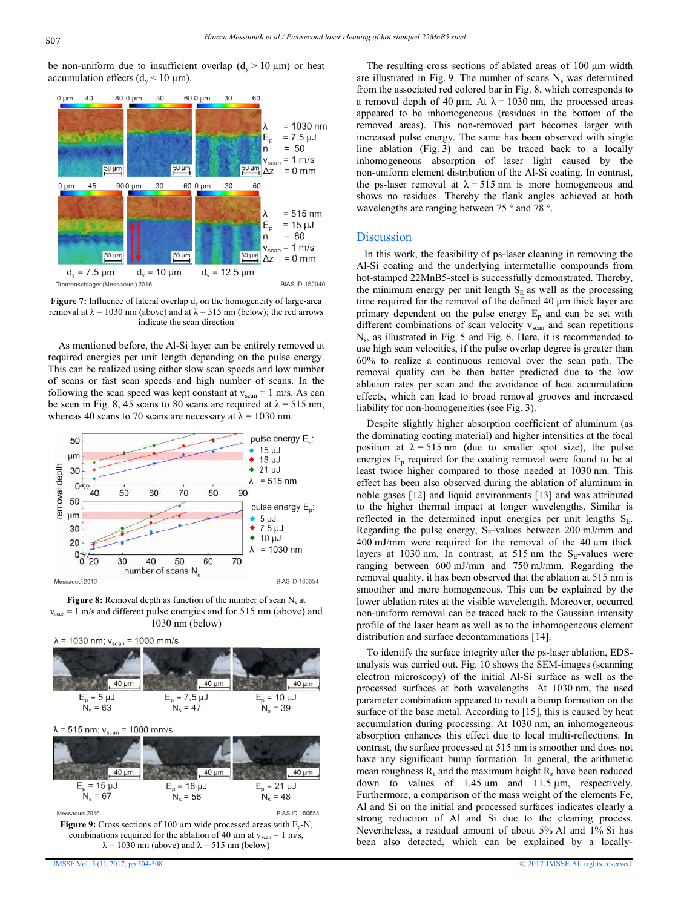be non-uniform due to insufficient overlap  $(d_y > 10 \mu m)$  or heat accumulation effects  $(d_v < 10 \mu m)$ .



**Figure 7:** Influence of lateral overlap d<sub>y</sub> on the homogeneity of large-area removal at  $λ = 1030$  nm (above) and at  $λ = 515$  nm (below); the red arrows indicate the scan direction

As mentioned before, the Al-Si layer can be entirely removed at required energies per unit length depending on the pulse energy. This can be realized using either slow scan speeds and low number required energies per unit length depending on the pulse energy.<br>This can be realized using either slow scan speeds and low number<br>of scans or fast scan speeds and high number of scans. In the following the scan speed was kept constant at  $v_{\text{scan}} = 1 \text{ m/s}$ . As can be seen in Fig. 8, 45 scans to 80 scans are required at  $\lambda = 515$  nm, whereas 40 scans to 70 scans are necessary at  $\lambda$  = 1030 nm.



**Figure 8:** Removal depth as function of the number of scan  $N_s$  at  $v_{scan} = 1$  m/s and different pulse energies and for 515 nm (above) and 1030 nm (below)



**Figure 9:** Cross sections of 100  $\mu$ m wide processed areas with  $E_p$ -N<sub>s</sub> combinations required for the ablation of 40  $\mu$ m at  $v_{\text{scan}} = 1$  m/s,  $\lambda$  = 1030 nm (above) and  $\lambda$  = 515 nm (below)

JMSSE Vol. 5 (1), 2017, pp 504-508

The resulting cross sections of ablated areas of  $100 \mu m$  width are illustrated in Fig. 9. The number of scans  $N_s$  was determined from the associated red colored bar in Fig. 8, which corresponds to a removal depth of 40  $\mu$ m. At  $\lambda$  = 1030 nm, the processed areas appeared to be inhomogeneous (residues in the bottom of the removed areas). This non-removed part becomes larger with increased pulse energy. The same has been observed with single line ablation (Fig. 3) and can be traced back to a locally inhomogeneous absorption of laser light caused by the non-uniform element distribution of the Al-Si coating. In contrast, the ps-laser removal at  $\lambda = 515$  nm is more homogeneous and shows no residues. Thereby the flank angles achieved at both wavelengths are ranging between 75 ° and 78 °. ared to be inhomogeneous (residues in the bottom of the wed areas). This non-removed part becomes larger with assed pulse energy. The same has been observed with single ablation (Fig. 3) and can be traced back to a locally

## **Discussion**

 In this work, the feasibility of ps-laser cleaning in removing the Al-Si coating and the underlying intermetallic compounds from In this work, the feasibility of ps-laser cleaning in removing the Al-Si coating and the underlying intermetallic compounds from hot-stamped 22MnB5-steel is successfully demonstrated. Thereby, the minimum energy per unit length  $S_E$  as well as the processing time required for the removal of the defined  $40 \mu m$  thick layer are primary dependent on the pulse energy  $E_p$  and can be set with different combinations of scan velocity  $v_{scan}$  and scan repetitions  $N<sub>s</sub>$ , as illustrated in Fig. 5 and Fig. 6. Here, it is recommended to use high scan velocities, if the pulse overlap degree is greater than 60% to realize a continuous removal over the scan path. The removal quality can be then better predicted due to the low ablation rates per scan and the avoidance of heat accumulation effects, which can lead to broad removal grooves and increased liability for non-homogeneities (see Fig. 3). er scan and the avoidance<br>an lead to broad removal g<br>homogeneities (see Fig. 3).

 Despite slightly higher absorption coefficient of aluminum (as the dominating coating material) and higher intensities at the focal position at  $\lambda = 515$  nm (due to smaller spot size), the pulse energies  $E_n$  required for the coating removal were found to be at least twice higher compared to those needed at 1030 nm. This effect has been also observed during the ablation of aluminum in noble gases [12] and liquid environments [13] and was attributed to the higher thermal impact at longer wavelengths. Similar is reflected in the determined input energies per unit lengths  $S_E$ . Regarding the pulse energy,  $S_E$ -values between 200 mJ/mm and  $400 \text{ mJ/mm}$  were required for the removal of the  $40 \mu \text{m}$  thick layers at 1030 nm. In contrast, at 515 nm the  $S_E$ -values were ranging between 600 mJ/mm and 750 mJ/mm. Regarding the removal quality, it has been observed that the ablation at 515 nm is smoother and more homogeneous. This can be explained by the lower ablation rates at the visible wavelength. Moreover, occurred non-uniform removal can be traced back to the Gaussian intensity profile of the laser beam as well as to the inhomogeneous element distribution and surface decontaminations [14]. moother and more homogeneous. This can be explained by the ower ablation rates at the visible wavelength. Moreover, occurred on-uniform removal can be traced back to the Gaussian intensity rofile of the laser beam as well

To identify the surface integrity after the ps-laser ablation, EDSanalysis was carried out. Fig. 10 shows the SEM SEM-images (scanning electron microscopy) of the initial Al-Si surface as well as the processed surfaces at both wavelengths. At 1030 nm, the used parameter combination appeared to result a bump formation on the surface of the base metal. According to [15], this is caused by heat accumulation during processing. At 1030 nm, an inhomogeneous absorption enhances this effect due to local multi-reflections. In contrast, the surface processed at 515 nm is smoother and does not have any significant bump formation. In general, the arithmetic mean roughness  $R_a$  and the maximum height  $R_z$  have been reduced down to values of  $1.45 \mu m$  and  $11.5 \mu m$ , respectively. Furthermore, a comparison of the mass weight of the elements Fe, Al and Si on the initial and processed surfaces indicates clearly a strong reduction of Al and Si due to the cleaning process. Nevertheless, a residual amount of about 5% Al and 1% Si has been also detected, which can be explained by a locally